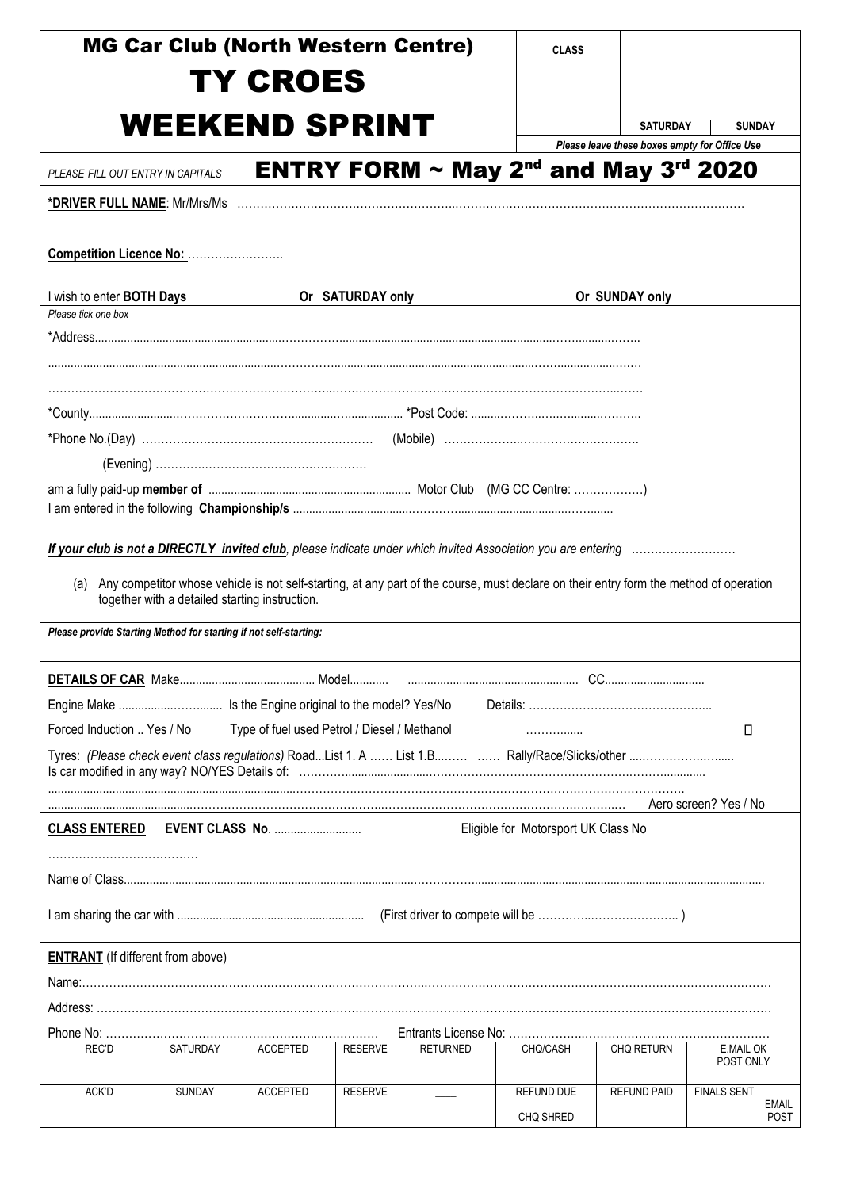|                                                                   |          | <b>MG Car Club (North Western Centre)</b>      |                  |                                                                                                                                        | <b>CLASS</b>                        |                                                                  |                             |  |  |
|-------------------------------------------------------------------|----------|------------------------------------------------|------------------|----------------------------------------------------------------------------------------------------------------------------------------|-------------------------------------|------------------------------------------------------------------|-----------------------------|--|--|
|                                                                   |          | <b>TY CROES</b>                                |                  |                                                                                                                                        |                                     |                                                                  |                             |  |  |
|                                                                   |          |                                                |                  |                                                                                                                                        |                                     |                                                                  |                             |  |  |
|                                                                   |          | <b>WEEKEND SPRINT</b>                          |                  |                                                                                                                                        |                                     | <b>SATURDAY</b><br>Please leave these boxes empty for Office Use | <b>SUNDAY</b>               |  |  |
| PLEASE FILL OUT ENTRY IN CAPITALS                                 |          |                                                |                  | <b>ENTRY FORM <math>\sim</math> May 2<sup>nd</sup> and May 3<sup>rd</sup> 2020</b>                                                     |                                     |                                                                  |                             |  |  |
| <u>*DRIVER FULL NAME</u> : Mr/Mrs/Ms                              |          |                                                |                  |                                                                                                                                        |                                     |                                                                  |                             |  |  |
|                                                                   |          |                                                |                  |                                                                                                                                        |                                     |                                                                  |                             |  |  |
| Competition Licence No:                                           |          |                                                |                  |                                                                                                                                        |                                     |                                                                  |                             |  |  |
| I wish to enter BOTH Days                                         |          |                                                | Or SATURDAY only |                                                                                                                                        |                                     | Or SUNDAY only                                                   |                             |  |  |
| Please tick one box                                               |          |                                                |                  |                                                                                                                                        |                                     |                                                                  |                             |  |  |
|                                                                   |          |                                                |                  |                                                                                                                                        |                                     |                                                                  |                             |  |  |
|                                                                   |          |                                                |                  |                                                                                                                                        |                                     |                                                                  |                             |  |  |
|                                                                   |          |                                                |                  |                                                                                                                                        |                                     |                                                                  |                             |  |  |
|                                                                   |          |                                                |                  |                                                                                                                                        |                                     |                                                                  |                             |  |  |
|                                                                   |          |                                                |                  |                                                                                                                                        |                                     |                                                                  |                             |  |  |
|                                                                   |          |                                                |                  |                                                                                                                                        |                                     |                                                                  |                             |  |  |
|                                                                   |          |                                                |                  |                                                                                                                                        |                                     |                                                                  |                             |  |  |
|                                                                   |          |                                                |                  |                                                                                                                                        |                                     |                                                                  |                             |  |  |
|                                                                   |          |                                                |                  |                                                                                                                                        |                                     |                                                                  |                             |  |  |
| (a)                                                               |          |                                                |                  | Any competitor whose vehicle is not self-starting, at any part of the course, must declare on their entry form the method of operation |                                     |                                                                  |                             |  |  |
|                                                                   |          | together with a detailed starting instruction. |                  |                                                                                                                                        |                                     |                                                                  |                             |  |  |
| Please provide Starting Method for starting if not self-starting: |          |                                                |                  |                                                                                                                                        |                                     |                                                                  |                             |  |  |
|                                                                   |          |                                                |                  |                                                                                                                                        |                                     |                                                                  |                             |  |  |
|                                                                   |          |                                                |                  |                                                                                                                                        |                                     |                                                                  |                             |  |  |
|                                                                   |          |                                                |                  |                                                                                                                                        |                                     |                                                                  |                             |  |  |
| Forced Induction  Yes / No                                        |          | Type of fuel used Petrol / Diesel / Methanol   |                  |                                                                                                                                        | .                                   |                                                                  | О                           |  |  |
|                                                                   |          |                                                |                  |                                                                                                                                        |                                     |                                                                  |                             |  |  |
|                                                                   |          |                                                |                  |                                                                                                                                        |                                     |                                                                  | Aero screen? Yes / No       |  |  |
| <b>CLASS ENTERED</b>                                              |          | <b>EVENT CLASS No. </b>                        |                  |                                                                                                                                        | Eligible for Motorsport UK Class No |                                                                  |                             |  |  |
|                                                                   |          |                                                |                  |                                                                                                                                        |                                     |                                                                  |                             |  |  |
|                                                                   |          |                                                |                  |                                                                                                                                        |                                     |                                                                  |                             |  |  |
|                                                                   |          |                                                |                  |                                                                                                                                        |                                     |                                                                  |                             |  |  |
|                                                                   |          |                                                |                  |                                                                                                                                        |                                     |                                                                  |                             |  |  |
| <b>ENTRANT</b> (If different from above)                          |          |                                                |                  |                                                                                                                                        |                                     |                                                                  |                             |  |  |
|                                                                   |          |                                                |                  |                                                                                                                                        |                                     |                                                                  |                             |  |  |
|                                                                   |          |                                                |                  |                                                                                                                                        |                                     |                                                                  |                             |  |  |
|                                                                   |          |                                                |                  |                                                                                                                                        |                                     |                                                                  |                             |  |  |
| REC'D                                                             | SATURDAY | <b>ACCEPTED</b>                                | <b>RESERVE</b>   | <b>RETURNED</b>                                                                                                                        | CHQ/CASH                            | CHQ RETURN                                                       | E.MAIL OK<br>POST ONLY      |  |  |
| ACK'D                                                             | SUNDAY   | <b>ACCEPTED</b>                                | <b>RESERVE</b>   |                                                                                                                                        | <b>REFUND DUE</b>                   | <b>REFUND PAID</b>                                               | <b>FINALS SENT</b>          |  |  |
|                                                                   |          |                                                |                  |                                                                                                                                        | CHQ SHRED                           |                                                                  | <b>EMAIL</b><br><b>POST</b> |  |  |